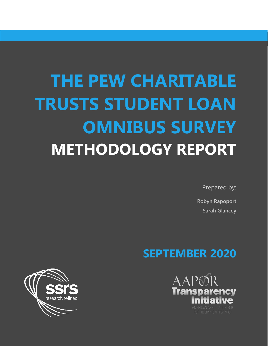# **THE PEW CHARITABLE TRUSTS STUDENT LOAN OMNIBUS SURVEY METHODOLOGY REPORT**

Prepared by:

**Robyn Rapoport Sarah Glancey**

## **SEPTEMBER 2020**



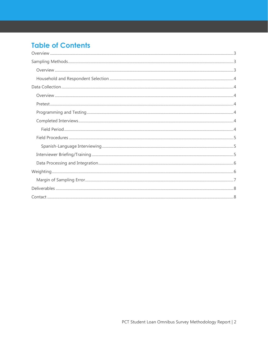## **Table of Contents**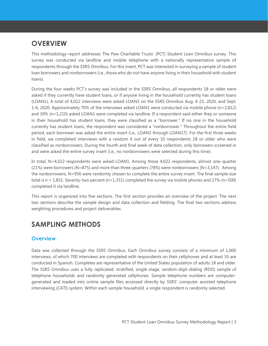## <span id="page-2-0"></span>**OVERVIEW**

This methodology report addresses The Pew Charitable Trusts' (PCT) Student Loan Omnibus survey. This survey was conducted via landline and mobile telephone with a nationally representative sample of respondents through the SSRS Omnibus. For this insert, PCT was interested in surveying a sample of student loan borrowers and nonborrowers (i.e., those who do not have anyone living in their household with student loans).

During the four weeks PCT's survey was included in the SSRS Omnibus, all respondents 18 or older were asked if they currently have student loans, or if anyone living in the household currently has student loans (LOAN1). A total of 4,022 interviews were asked LOAN1 on the SSRS Omnibus Aug. 4-23, 2020, and Sept. 1-6, 2020. Approximately 70% of the interviews asked LOAN1 were conducted via mobile phone (n=2,812) and 30% (n=1,210) asked LOAN1 were completed via landline. If a respondent said either they or someone in their household has student loans, they were classified as a "borrower." If no one in the household currently has student loans, the respondent was considered a "nonborrower." Throughout the entire field period, each borrower was asked the entire insert (i.e., LOAN1 through LOAN17). For the first three weeks in field, we completed interviews with a random 4 out of every 10 respondents 18 or older who were classified as nonborrowers. During the fourth and final week of data collection, only borrowers screened in and were asked the entire survey insert (i.e., no nonborrowers were selected during this time).

In total, N=4,022 respondents were asked LOAN1. Among those 4,022 respondents, almost one-quarter (21%) were borrowers (N=875) and more than three-quarters (78%) were nonborrowers (N=3,147). Among the nonborrowers, N=956 were randomly chosen to complete the entire survey insert. The final sample size total is  $n = 1,831$ . Seventy-two percent (n=1,331) completed the survey via mobile phones and 27% (n=500) completed it via landline.

This report is organized into five sections. The first section provides an overview of the project. The next two sections describe the sample design and data collection and fielding. The final two sections address weighting procedures and project deliverables.

## <span id="page-2-1"></span>**SAMPLING METHODS**

#### <span id="page-2-2"></span>**Overview**

Data was collected through the SSRS Omnibus. Each Omnibus survey consists of a minimum of 1,000 interviews, of which 700 interviews are completed with respondents on their cellphones and at least 35 are conducted in Spanish. Completes are representative of the United States population of adults 18 and older. The SSRS Omnibus uses a fully replicated, stratified, single-stage, random-digit-dialing (RDD) sample of telephone households and randomly generated cellphones. Sample telephone numbers are computergenerated and loaded into online sample files accessed directly by SSRS' computer assisted telephone interviewing (CATI) system. Within each sample household, a single respondent is randomly selected.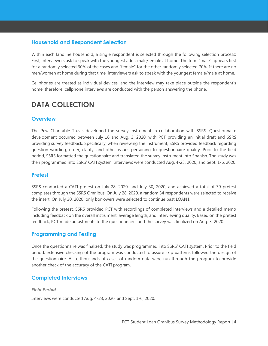#### <span id="page-3-0"></span>**Household and Respondent Selection**

Within each landline household, a single respondent is selected through the following selection process: First, interviewers ask to speak with the youngest adult male/female at home. The term "male" appears first for a randomly selected 30% of the cases and "female" for the other randomly selected 70%. If there are no men/women at home during that time, interviewers ask to speak with the youngest female/male at home.

Cellphones are treated as individual devices, and the interview may take place outside the respondent's home; therefore, cellphone interviews are conducted with the person answering the phone.

## <span id="page-3-1"></span>**DATA COLLECTION**

#### <span id="page-3-2"></span>**Overview**

The Pew Charitable Trusts developed the survey instrument in collaboration with SSRS. Questionnaire development occurred between July 16 and Aug. 3, 2020, with PCT providing an initial draft and SSRS providing survey feedback. Specifically, when reviewing the instrument, SSRS provided feedback regarding question wording, order, clarity, and other issues pertaining to questionnaire quality. Prior to the field period, SSRS formatted the questionnaire and translated the survey instrument into Spanish. The study was then programmed into SSRS' CATI system. Interviews were conducted Aug. 4-23, 2020, and Sept. 1-6, 2020.

#### <span id="page-3-3"></span>**Pretest**

SSRS conducted a CATI pretest on July 28, 2020, and July 30, 2020, and achieved a total of 39 pretest completes through the SSRS Omnibus. On July 28, 2020, a random 34 respondents were selected to receive the insert. On July 30, 2020, only borrowers were selected to continue past LOAN1.

Following the pretest, SSRS provided PCT with recordings of completed interviews and a detailed memo including feedback on the overall instrument, average length, and interviewing quality. Based on the pretest feedback, PCT made adjustments to the questionnaire, and the survey was finalized on Aug. 3, 2020.

#### <span id="page-3-4"></span>**Programming and Testing**

Once the questionnaire was finalized, the study was programmed into SSRS' CATI system. Prior to the field period, extensive checking of the program was conducted to assure skip patterns followed the design of the questionnaire. Also, thousands of cases of random data were run through the program to provide another check of the accuracy of the CATI program.

#### <span id="page-3-5"></span>**Completed Interviews**

#### <span id="page-3-6"></span>*Field Period*

Interviews were conducted Aug. 4-23, 2020, and Sept. 1-6, 2020.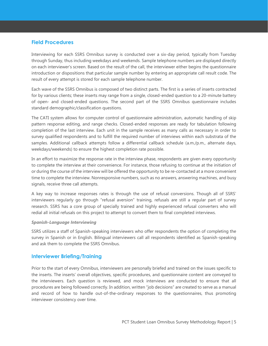#### <span id="page-4-0"></span>**Field Procedures**

Interviewing for each SSRS Omnibus survey is conducted over a six-day period, typically from Tuesday through Sunday, thus including weekdays and weekends. Sample telephone numbers are displayed directly on each interviewer's screen. Based on the result of the call, the interviewer either begins the questionnaire introduction or dispositions that particular sample number by entering an appropriate call result code. The result of every attempt is stored for each sample telephone number.

Each wave of the SSRS Omnibus is composed of two distinct parts. The first is a series of inserts contracted for by various clients; these inserts may range from a single, closed-ended question to a 20-minute battery of open- and closed-ended questions. The second part of the SSRS Omnibus questionnaire includes standard demographic/classification questions.

The CATI system allows for computer control of questionnaire administration, automatic handling of skip pattern response editing, and range checks. Closed-ended responses are ready for tabulation following completion of the last interview. Each unit in the sample receives as many calls as necessary in order to survey qualified respondents and to fulfill the required number of interviews within each substrata of the samples. Additional callback attempts follow a differential callback schedule (a.m./p.m., alternate days, weekdays/weekends) to ensure the highest completion rate possible.

In an effort to maximize the response rate in the interview phase, respondents are given every opportunity to complete the interview at their convenience. For instance, those refusing to continue at the initiation of or during the course of the interview will be offered the opportunity to be re-contacted at a more convenient time to complete the interview. Nonresponsive numbers, such as no answers, answering machines, and busy signals, receive three call attempts.

A key way to increase responses rates is through the use of refusal conversions. Though all of SSRS' interviewers regularly go through "refusal aversion" training, refusals are still a regular part of survey research. SSRS has a core group of specially trained and highly experienced refusal converters who will redial all initial refusals on this project to attempt to convert them to final completed interviews.

#### <span id="page-4-1"></span>*Spanish-Language Interviewing*

SSRS utilizes a staff of Spanish-speaking interviewers who offer respondents the option of completing the survey in Spanish or in English. Bilingual interviewers call all respondents identified as Spanish-speaking and ask them to complete the SSRS Omnibus.

#### <span id="page-4-2"></span>**Interviewer Briefing/Training**

Prior to the start of every Omnibus, interviewers are personally briefed and trained on the issues specific to the inserts. The inserts' overall objectives, specific procedures, and questionnaire content are conveyed to the interviewers. Each question is reviewed, and mock interviews are conducted to ensure that all procedures are being followed correctly. In addition, written "job decisions" are created to serve as a manual and record of how to handle out-of-the-ordinary responses to the questionnaires, thus promoting interviewer consistency over time.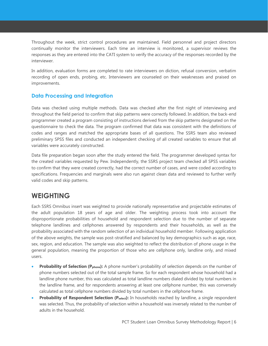Throughout the week, strict control procedures are maintained. Field personnel and project directors continually monitor the interviewers. Each time an interview is monitored, a supervisor reviews the responses as they are entered into the CATI system to verify the accuracy of the responses recorded by the interviewer.

In addition, evaluation forms are completed to rate interviewers on diction, refusal conversion, verbatim recording of open ends, probing, etc. Interviewers are counseled on their weaknesses and praised on improvements.

#### <span id="page-5-0"></span>**Data Processing and Integration**

Data was checked using multiple methods. Data was checked after the first night of interviewing and throughout the field period to confirm that skip patterns were correctly followed. In addition, the back-end programmer created a program consisting of instructions derived from the skip patterns designated on the questionnaire to check the data. The program confirmed that data was consistent with the definitions of codes and ranges and matched the appropriate bases of all questions. The SSRS team also reviewed preliminary SPSS files and conducted an independent checking of all created variables to ensure that all variables were accurately constructed.

Data file preparation began soon after the study entered the field. The programmer developed syntax for the created variables requested by Pew. Independently, the SSRS project team checked all SPSS variables to confirm that they were created correctly, had the correct number of cases, and were coded according to specifications. Frequencies and marginals were also run against clean data and reviewed to further verify valid codes and skip patterns.

### <span id="page-5-1"></span>**WEIGHTING**

Each SSRS Omnibus insert was weighted to provide nationally representative and projectable estimates of the adult population 18 years of age and older. The weighting process took into account the disproportionate probabilities of household and respondent selection due to the number of separate telephone landlines and cellphones answered by respondents and their households, as well as the probability associated with the random selection of an individual household member. Following application of the above weights, the sample was post-stratified and balanced by key demographics such as age, race, sex, region, and education. The sample was also weighted to reflect the distribution of phone usage in the general population, meaning the proportion of those who are cellphone only, landline only, and mixed users.

- **Probability of Selection (P<sub>phone</sub>):** A phone number's probability of selection depends on the number of phone numbers selected out of the total sample frame. So for each respondent whose household had a landline phone number, this was calculated as total landline numbers dialed divided by total numbers in the landline frame, and for respondents answering at least one cellphone number, this was conversely calculated as total cellphone numbers divided by total numbers in the cellphone frame.
- **Probability of Respondent Selection (P**<sub>select</sub>): In households reached by landline, a single respondent was selected. Thus, the probability of selection within a household was inversely related to the number of adults in the household.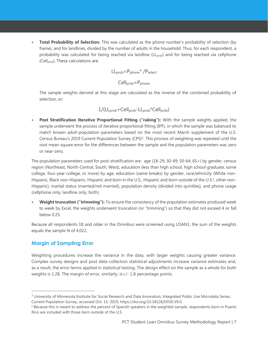• **Total Probability of Selection:** This was calculated as the phone number's probability of selection (by frame), and for landlines, divided by the number of adults in the household. Thus, for each respondent, a probability was calculated for being reached via landline (LL<sub>prob</sub>) and for being reached via cellphone (Cell<sub>prob</sub>). These calculations are:

$$
LL_{prob} = P_{phone} * / P_{select}
$$

#### Cell<sub>prob</sub>=P<sub>phone</sub>

The sample weights derived at this stage are calculated as the inverse of the combined probability of selection, or:

$$
1/(LL_{prob} + Cell_{prob} - LL_{prob} * Cell_{prob})
$$

• **Post Stratification Iterative Proportional Fitting ("raking"):** With the sample weights applied, the sample underwent the process of iterative proportional fitting (IPF), in which the sample was balanced to match known adult-population parameters based on the most recent March supplement of the U.S. Census Bureau's 2019 Current Population Survey (CPS)<sup>1</sup>. This process of weighting was repeated until the root mean square error for the differences between the sample and the population parameters was zero or near-zero.

The population parameters used for post-stratification are: age (18-29; 30-49; 50-64; 65+) by gender, census region (Northeast, North-Central, South, West), education (less than high school, high school graduate, some college, four-year college, or more) by age, education (same breaks) by gender, race/ethnicity (White non-Hispanic, Black non-Hispanic, Hispanic and born in the U.S., Hispanic and born outside of the U.S.<sup>2</sup>, other non-Hispanic), marital status (married/not married), population density (divided into quintiles), and phone usage (cellphone only, landline only, both).

• **Weight truncation ("trimming"):** To ensure the consistency of the population estimates produced week to week by Excel, the weights underwent truncation (or "trimming") so that they did not exceed 4 or fall below 0.25.

Because all respondents 18 and older in the Omnibus were screened using LOAN1, the sum of the weights equals the sample N of 4,022.

#### <span id="page-6-0"></span>**Margin of Sampling Error**

Weighting procedures increase the variance in the data, with larger weights causing greater variance. Complex survey designs and post data-collection statistical adjustments increase variance estimates and, as a result, the error terms applied in statistical testing. The design effect on the sample as a whole for both weights is 1.28. The margin of error, similarly, is+/- 1.8 percentage points.

 $1$  University of Minnesota Institute for Social Research and Data Innovation, Integrated Public Use Microdata Series, Current Population Survey, accessed Oct. 15, 2019, https://doi.org/10.18128/D030.V6.0.

<sup>&</sup>lt;sup>2</sup> Because this is meant to address the percent of Spanish speakers in the weighted sample, respondents born in Puerto Rico are included with those born outside of the U.S.